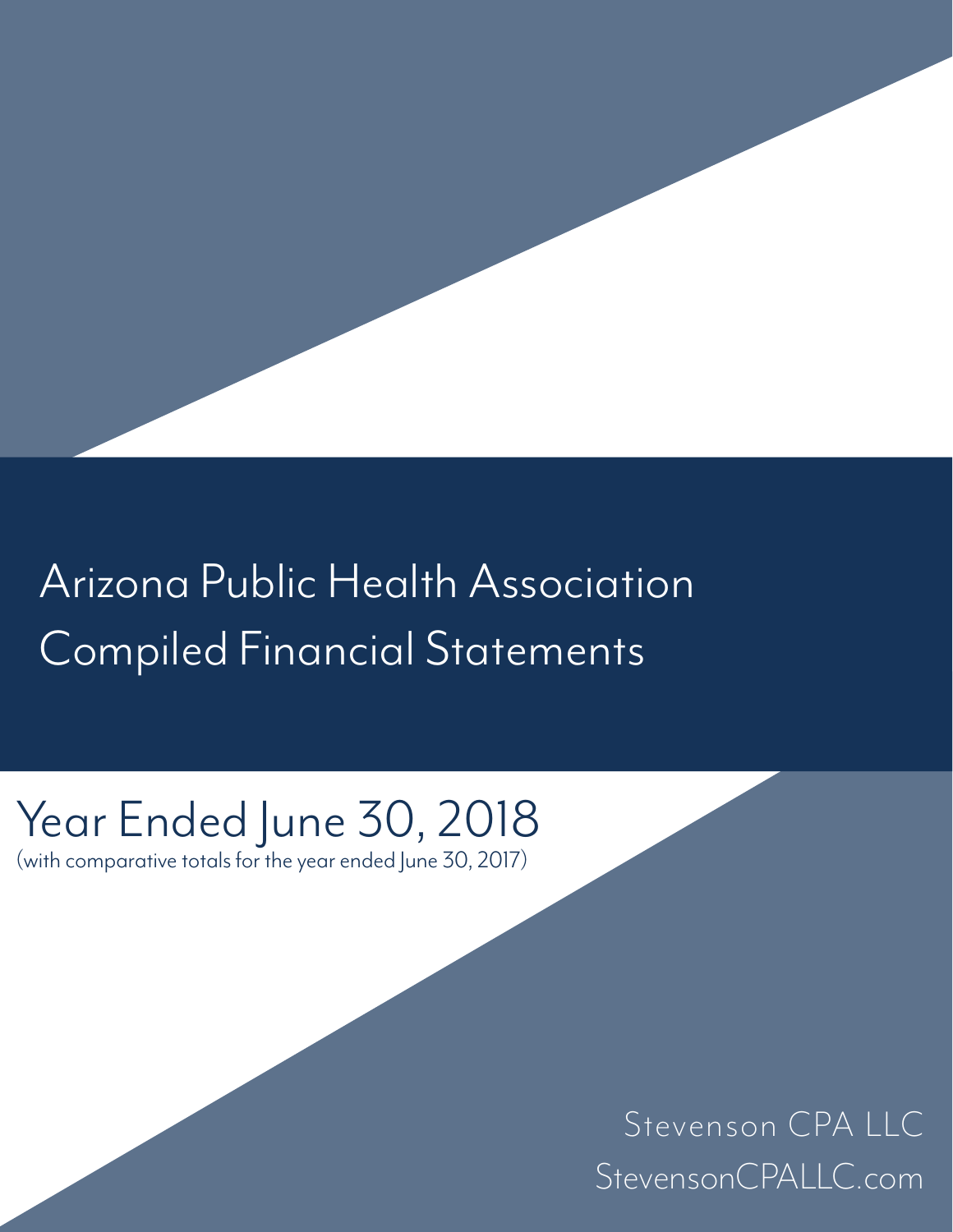## Arizona Public Health Association Compiled Financial Statements

# Year Ended June 30, 2018

(with comparative totals for the year ended June 30, 2017)

Stevenson CPA LLC StevensonCPALLC.com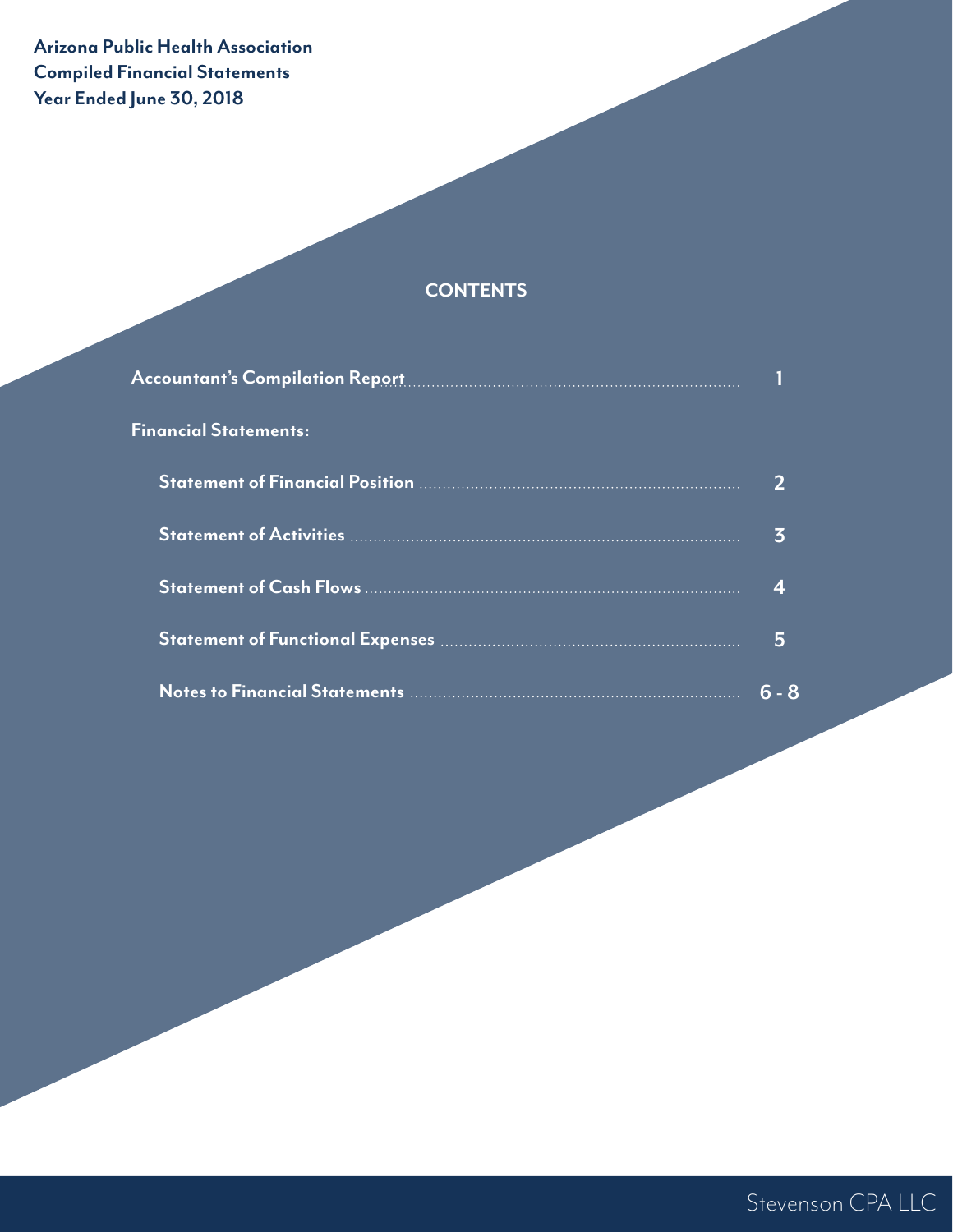## **Arizona Public Health Association Compiled Financial Statements Year Ended June 30, 2018**

## **CONTENTS**

| Accountant's Compilation Report <b>Compilation Report Accountant</b> |         |
|----------------------------------------------------------------------|---------|
| <b>Financial Statements:</b>                                         |         |
|                                                                      |         |
|                                                                      | 3       |
|                                                                      |         |
|                                                                      | 5       |
|                                                                      | $6 - 8$ |

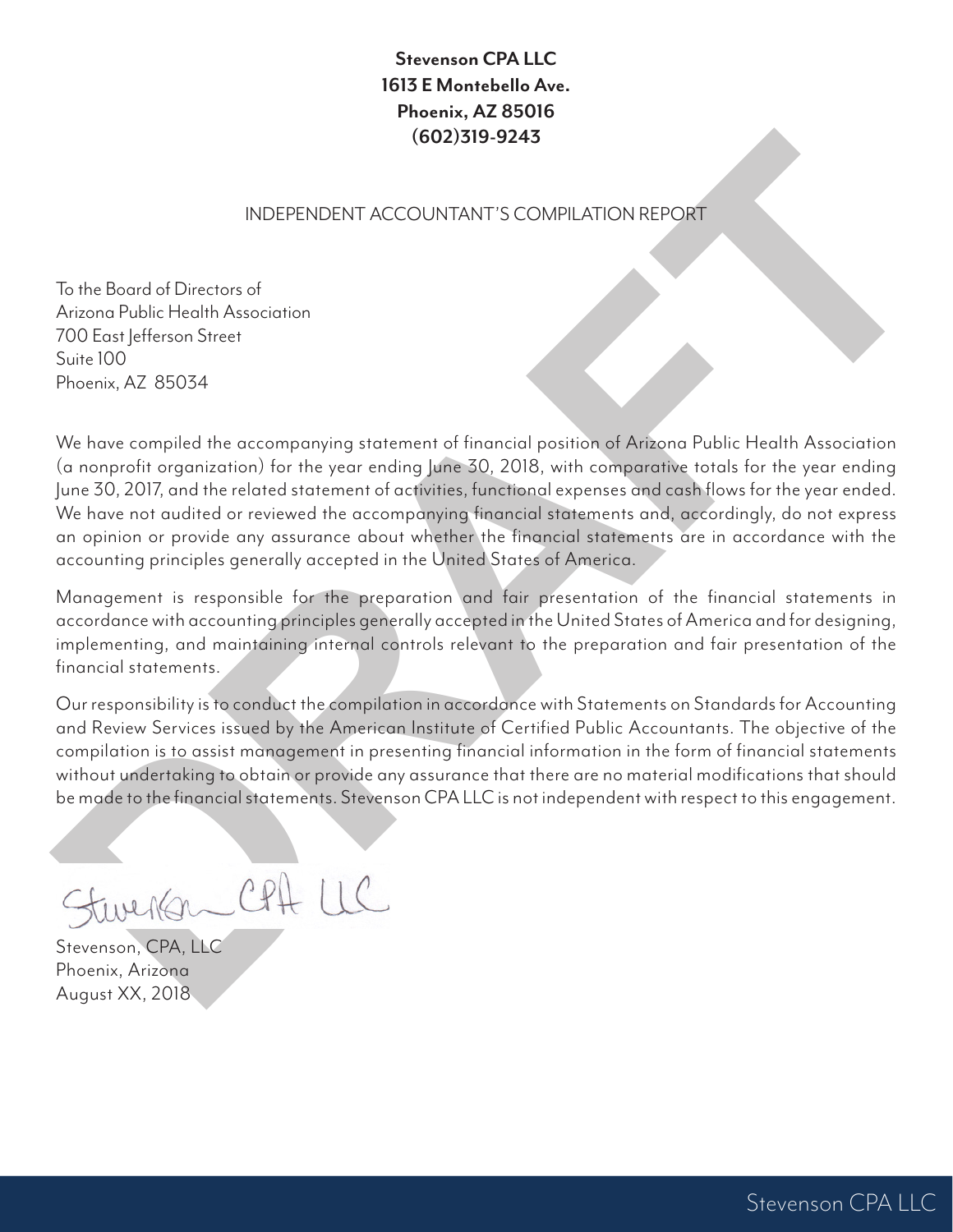## **Stevenson CPA LLC 1613 E Montebello Ave. Phoenix, AZ 85016 (602)319-9243**

### INDEPENDENT ACCOUNTANT'S COMPILATION REPORT

To the Board of Directors of Arizona Public Health Association 700 East lefferson Street Suite 100 Phoenix, AZ 85034

**INDEPENDENT ACCOUNTANT'S COMPLATION REPORT**<br>
To the Beard of Directions of<br>
Arizons Public Hotelin Association<br>
200 Easy Jefferson Street<br>
200 Easy Jefferson Street<br>
200 Easy Jefferson Street<br>
200 Street (200 SM)<br>
Process We have compiled the accompanying statement of financial position of Arizona Public Health Association (a nonprofit organization) for the year ending June 30, 2018, with comparative totals for the year ending June 30, 2017, and the related statement of activities, functional expenses and cash flows for the year ended. We have not audited or reviewed the accompanying financial statements and, accordingly, do not express an opinion or provide any assurance about whether the financial statements are in accordance with the accounting principles generally accepted in the United States of America.

Management is responsible for the preparation and fair presentation of the financial statements in accordance with accounting principles generally accepted in the United States of America and for designing, implementing, and maintaining internal controls relevant to the preparation and fair presentation of the financial statements.

Our responsibility is to conduct the compilation in accordance with Statements on Standards for Accounting and Review Services issued by the American Institute of Certified Public Accountants. The objective of the compilation is to assist management in presenting financial information in the form of financial statements without undertaking to obtain or provide any assurance that there are no material modifications that should be made to the financial statements. Stevenson CPA LLC is not independent with respect to this engagement.

Stevenson, CPA, LLC Phoenix, Arizona August XX, 2018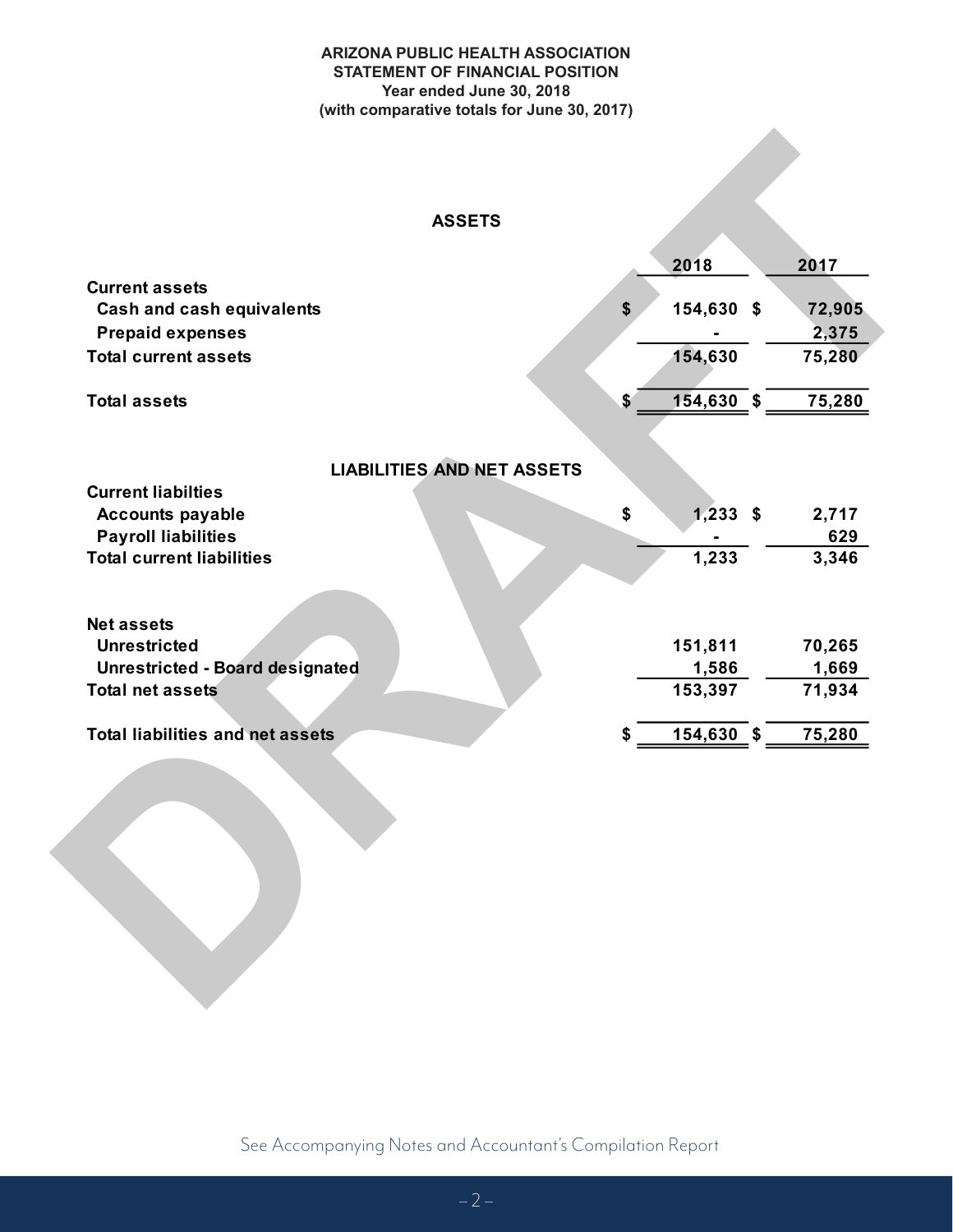#### **ARIZONA PUBLIC HEALTH ASSOCIATION STATEMENT OF FINANCIAL POSITION Year ended June 30, 2018 (with comparative totals for June 30, 2017)**

#### **ASSETS**

| <b>ASSETS</b>                           |                  |        |
|-----------------------------------------|------------------|--------|
|                                         | 2018             | 2017   |
| <b>Current assets</b>                   |                  |        |
| <b>Cash and cash equivalents</b>        | \$<br>154,630 \$ | 72,905 |
| <b>Prepaid expenses</b>                 |                  | 2,375  |
| <b>Total current assets</b>             | 154,630          | 75,280 |
| <b>Total assets</b>                     | 154,630 \$<br>\$ | 75,280 |
| <b>LIABILITIES AND NET ASSETS</b>       |                  |        |
| <b>Current liabilties</b>               |                  |        |
| <b>Accounts payable</b>                 | $1,233$ \$<br>\$ | 2,717  |
| <b>Payroll liabilities</b>              |                  | 629    |
| <b>Total current liabilities</b>        | 1,233            | 3,346  |
| <b>Net assets</b>                       |                  |        |
| <b>Unrestricted</b>                     | 151,811          | 70,265 |
| Unrestricted - Board designated         | 1,586            | 1,669  |
| <b>Total net assets</b>                 | 153,397          | 71,934 |
| <b>Total liabilities and net assets</b> | 154,630 \$<br>\$ | 75,280 |
|                                         |                  |        |
|                                         |                  |        |
|                                         |                  |        |
|                                         |                  |        |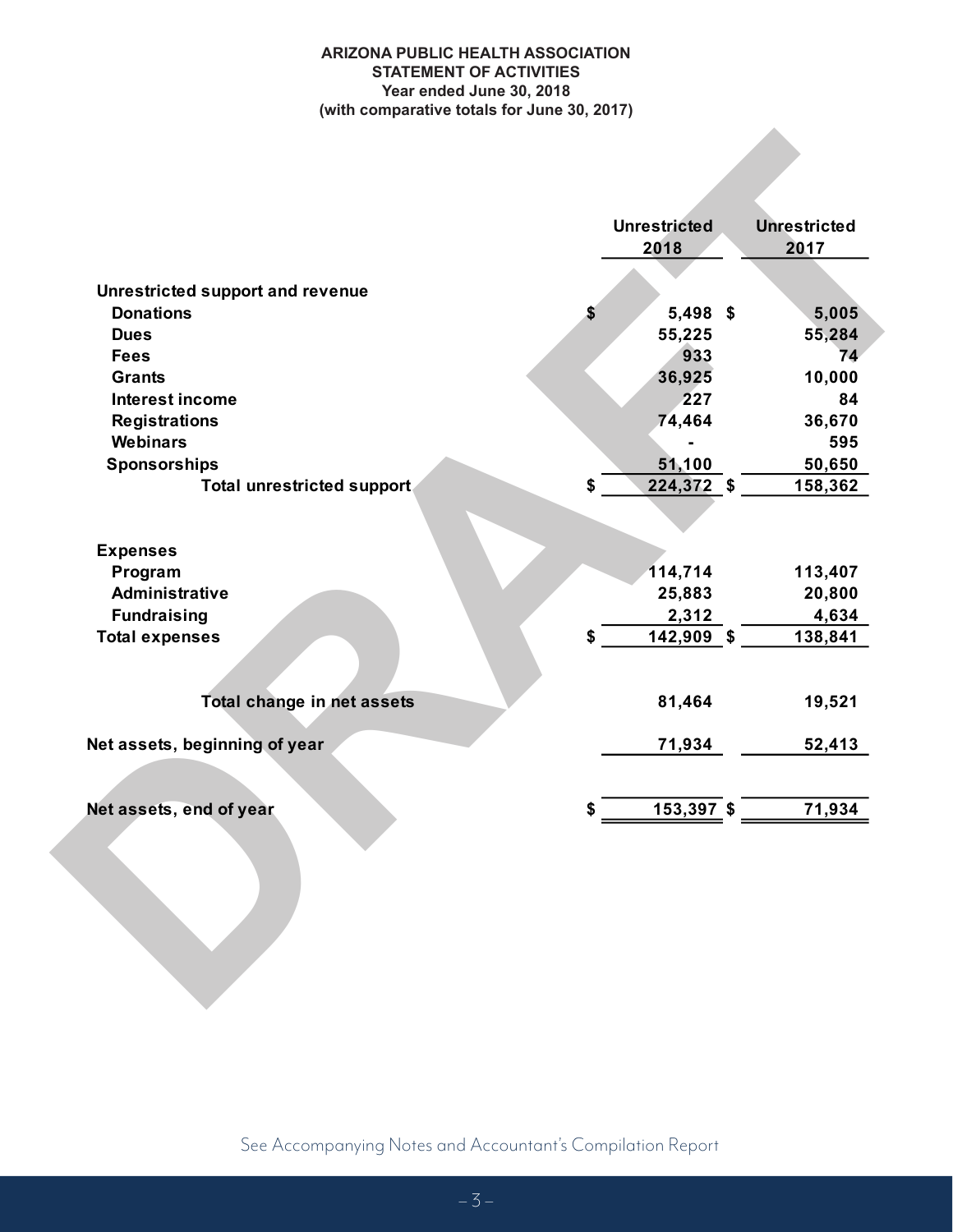#### **ARIZONA PUBLIC HEALTH ASSOCIATION STATEMENT OF ACTIVITIES Year ended June 30, 2018 (with comparative totals for June 30, 2017)**

|                                         | <b>Unrestricted</b><br>2018 | <b>Unrestricted</b><br>2017 |
|-----------------------------------------|-----------------------------|-----------------------------|
| <b>Unrestricted support and revenue</b> |                             |                             |
| <b>Donations</b>                        | \$<br>$5,498$ \$            | 5,005                       |
| <b>Dues</b>                             | 55,225                      | 55,284                      |
| <b>Fees</b>                             | 933                         | 74                          |
| <b>Grants</b>                           | 36,925                      | 10,000                      |
| <b>Interest income</b>                  | 227                         | 84                          |
| <b>Registrations</b>                    | 74,464                      | 36,670                      |
| <b>Webinars</b>                         |                             | 595                         |
| <b>Sponsorships</b>                     | 51,100                      | 50,650                      |
| Total unrestricted support              | \$<br>224,372 \$            | 158,362                     |
| <b>Expenses</b>                         |                             |                             |
| Program                                 | 114,714                     | 113,407                     |
| <b>Administrative</b>                   | 25,883                      | 20,800                      |
| <b>Fundraising</b>                      | 2,312                       | 4,634                       |
| <b>Total expenses</b>                   | \$<br>142,909 \$            | 138,841                     |
| Total change in net assets              | 81,464                      | 19,521                      |
| Net assets, beginning of year           | 71,934                      | 52,413                      |
| Net assets, end of year                 | \$<br>$153,397$ \$          | 71,934                      |
|                                         |                             |                             |

See Accompanying Notes and Accountant's Compilation Report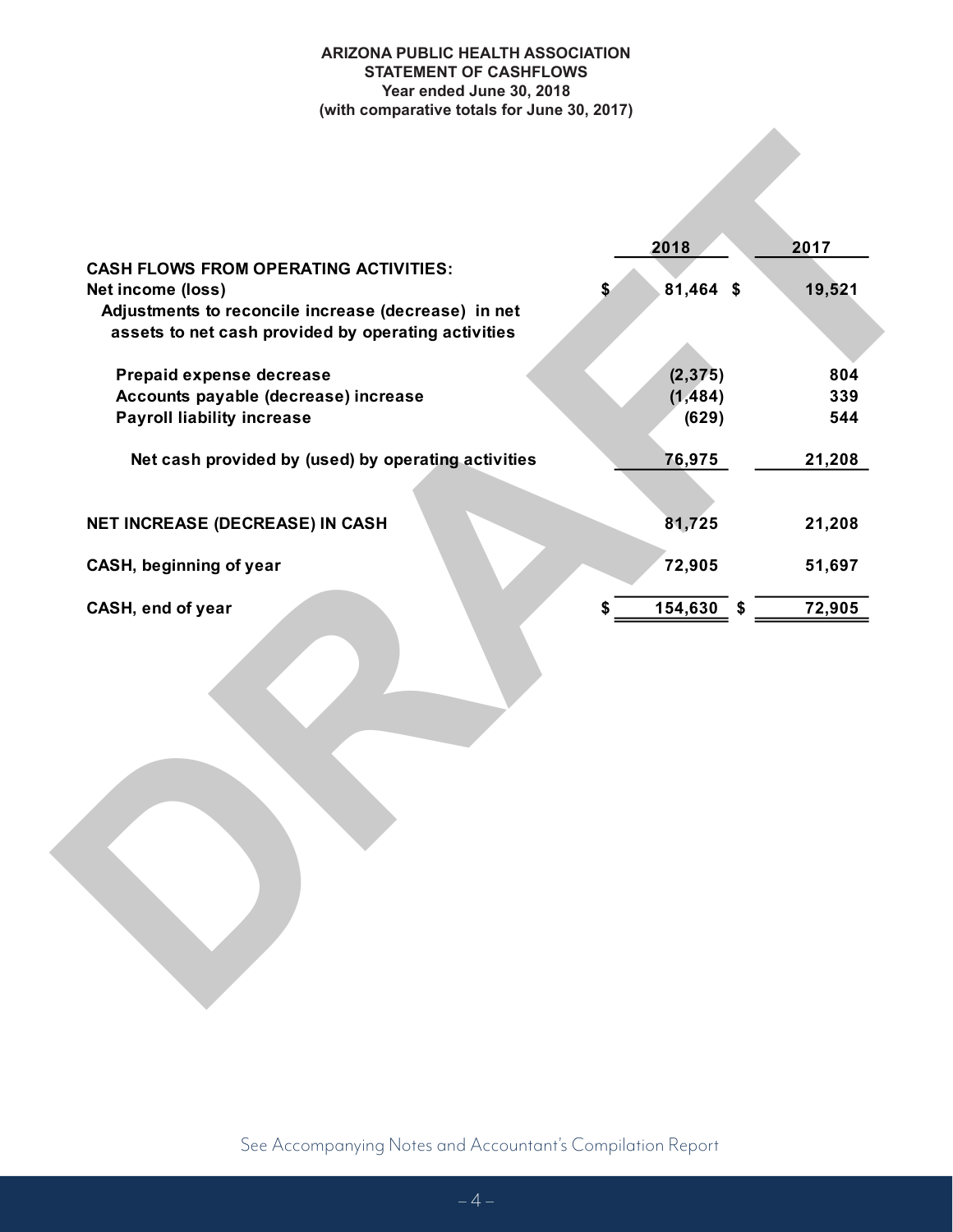#### **ARIZONA PUBLIC HEALTH ASSOCIATION STATEMENT OF CASHFLOWS Year ended June 30, 2018 (with comparative totals for June 30, 2017)**

|                                                     | 2018               | 2017   |
|-----------------------------------------------------|--------------------|--------|
| <b>CASH FLOWS FROM OPERATING ACTIVITIES:</b>        |                    |        |
| Net income (loss)                                   | 81,464 \$<br>\$    | 19,521 |
| Adjustments to reconcile increase (decrease) in net |                    |        |
| assets to net cash provided by operating activities |                    |        |
|                                                     |                    |        |
| Prepaid expense decrease                            | (2, 375)           | 804    |
| Accounts payable (decrease) increase                | (1, 484)           | 339    |
| <b>Payroll liability increase</b>                   | (629)              | 544    |
| Net cash provided by (used) by operating activities | 76,975             | 21,208 |
|                                                     |                    |        |
| NET INCREASE (DECREASE) IN CASH                     | 81,725             | 21,208 |
|                                                     |                    |        |
| CASH, beginning of year                             | 72,905             | 51,697 |
| CASH, end of year                                   | $154,630$ \$<br>\$ | 72,905 |
|                                                     |                    |        |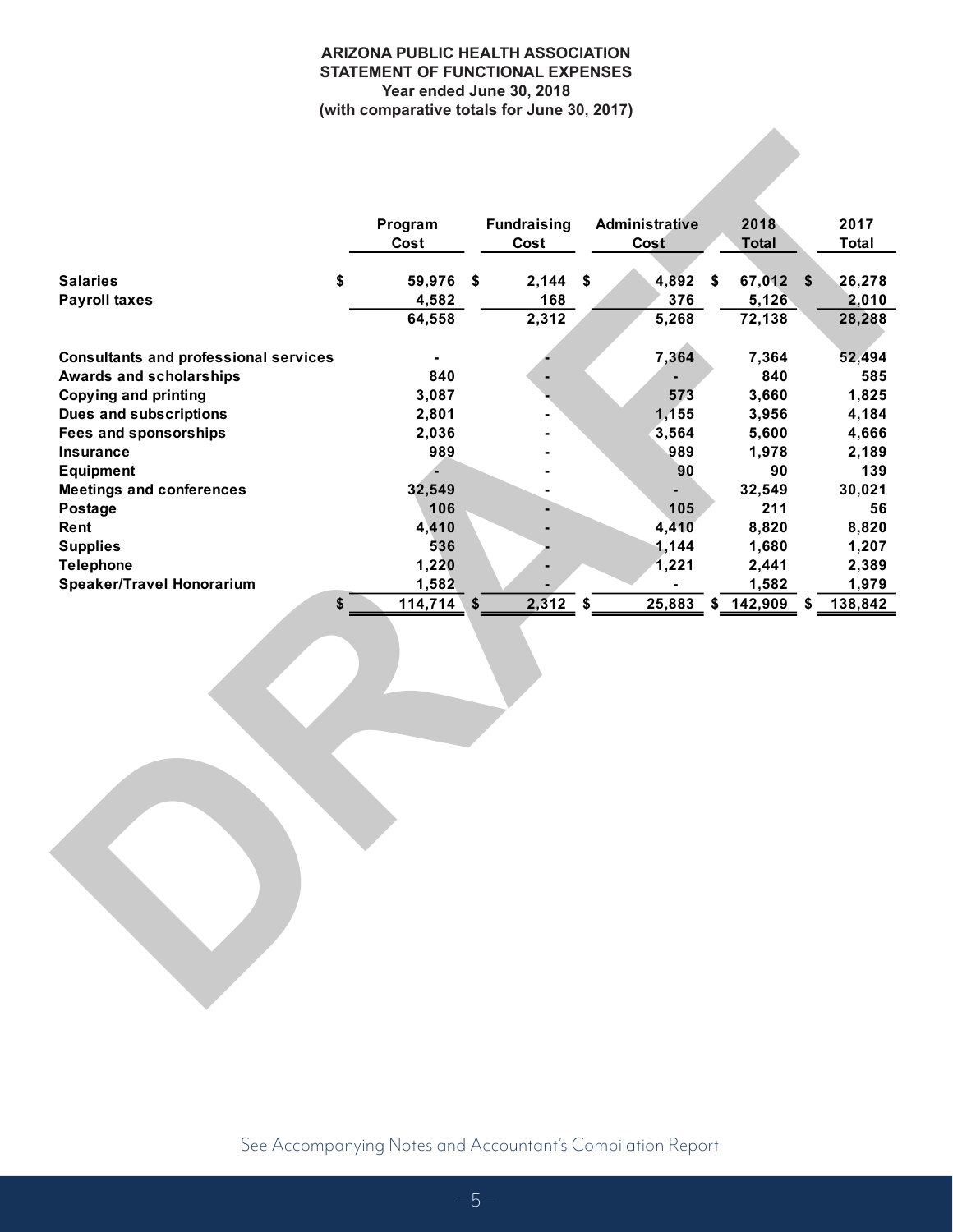#### **ARIZONA PUBLIC HEALTH ASSOCIATION STATEMENT OF FUNCTIONAL EXPENSES Year ended June 30, 2018 (with comparative totals for June 30, 2017)**

| Program<br>Cost<br><b>Salaries</b><br>\$<br><b>Payroll taxes</b><br><b>Consultants and professional services</b><br>Awards and scholarships<br><b>Copying and printing</b><br>Dues and subscriptions<br><b>Fees and sponsorships</b><br>Insurance<br><b>Equipment</b><br><b>Meetings and conferences</b><br>Postage<br>Rent<br><b>Supplies</b><br><b>Telephone</b><br><b>Speaker/Travel Honorarium</b><br>\$ | 59,976 \$<br>4,582<br>64,558<br>$\blacksquare$<br>840<br>3,087<br>2,801<br>2,036<br>989<br>32,549<br>106<br>4,410 | <b>Fundraising</b><br>Cost<br>$2,144$ \$<br>168<br>2,312 | <b>Administrative</b><br>Cost<br>$4,892$ \$<br>376<br>5,268<br>7,364<br>573<br>1,155<br>3,564<br>989<br>90<br>$\blacksquare$ | 2018<br><b>Total</b><br>67,012 \$<br>5,126<br>72,138<br>7,364<br>840<br>3,660<br>3,956<br>5,600<br>1,978<br>90<br>32,549 | 2017<br><b>Total</b><br>26,278<br>2,010<br>28,288<br>52,494<br>585<br>1,825<br>4,184<br>4,666<br>2,189<br>139 |
|--------------------------------------------------------------------------------------------------------------------------------------------------------------------------------------------------------------------------------------------------------------------------------------------------------------------------------------------------------------------------------------------------------------|-------------------------------------------------------------------------------------------------------------------|----------------------------------------------------------|------------------------------------------------------------------------------------------------------------------------------|--------------------------------------------------------------------------------------------------------------------------|---------------------------------------------------------------------------------------------------------------|
|                                                                                                                                                                                                                                                                                                                                                                                                              |                                                                                                                   |                                                          |                                                                                                                              |                                                                                                                          |                                                                                                               |
|                                                                                                                                                                                                                                                                                                                                                                                                              |                                                                                                                   |                                                          |                                                                                                                              |                                                                                                                          |                                                                                                               |
|                                                                                                                                                                                                                                                                                                                                                                                                              |                                                                                                                   |                                                          |                                                                                                                              |                                                                                                                          |                                                                                                               |
|                                                                                                                                                                                                                                                                                                                                                                                                              |                                                                                                                   |                                                          |                                                                                                                              |                                                                                                                          |                                                                                                               |
|                                                                                                                                                                                                                                                                                                                                                                                                              |                                                                                                                   |                                                          |                                                                                                                              |                                                                                                                          |                                                                                                               |
|                                                                                                                                                                                                                                                                                                                                                                                                              |                                                                                                                   |                                                          |                                                                                                                              |                                                                                                                          |                                                                                                               |
|                                                                                                                                                                                                                                                                                                                                                                                                              |                                                                                                                   |                                                          |                                                                                                                              |                                                                                                                          |                                                                                                               |
|                                                                                                                                                                                                                                                                                                                                                                                                              |                                                                                                                   |                                                          |                                                                                                                              |                                                                                                                          |                                                                                                               |
|                                                                                                                                                                                                                                                                                                                                                                                                              |                                                                                                                   |                                                          |                                                                                                                              |                                                                                                                          |                                                                                                               |
|                                                                                                                                                                                                                                                                                                                                                                                                              |                                                                                                                   |                                                          |                                                                                                                              |                                                                                                                          |                                                                                                               |
|                                                                                                                                                                                                                                                                                                                                                                                                              |                                                                                                                   |                                                          |                                                                                                                              |                                                                                                                          |                                                                                                               |
|                                                                                                                                                                                                                                                                                                                                                                                                              |                                                                                                                   |                                                          |                                                                                                                              |                                                                                                                          |                                                                                                               |
|                                                                                                                                                                                                                                                                                                                                                                                                              |                                                                                                                   |                                                          |                                                                                                                              |                                                                                                                          | 30,021                                                                                                        |
|                                                                                                                                                                                                                                                                                                                                                                                                              |                                                                                                                   |                                                          | 105                                                                                                                          | 211                                                                                                                      | 56                                                                                                            |
|                                                                                                                                                                                                                                                                                                                                                                                                              |                                                                                                                   |                                                          | 4,410                                                                                                                        | 8,820                                                                                                                    | 8,820                                                                                                         |
|                                                                                                                                                                                                                                                                                                                                                                                                              | 536                                                                                                               |                                                          | 1,144                                                                                                                        | 1,680                                                                                                                    | 1,207                                                                                                         |
|                                                                                                                                                                                                                                                                                                                                                                                                              | 1,220                                                                                                             |                                                          | 1,221                                                                                                                        | 2,441                                                                                                                    | 2,389                                                                                                         |
|                                                                                                                                                                                                                                                                                                                                                                                                              | 1,582                                                                                                             |                                                          |                                                                                                                              | 1,582                                                                                                                    | 1,979                                                                                                         |
|                                                                                                                                                                                                                                                                                                                                                                                                              | 114,714<br>\$                                                                                                     | 2,312                                                    | \$                                                                                                                           | 25,883 \$ 142,909<br>\$                                                                                                  | 138,842                                                                                                       |
|                                                                                                                                                                                                                                                                                                                                                                                                              |                                                                                                                   |                                                          |                                                                                                                              |                                                                                                                          |                                                                                                               |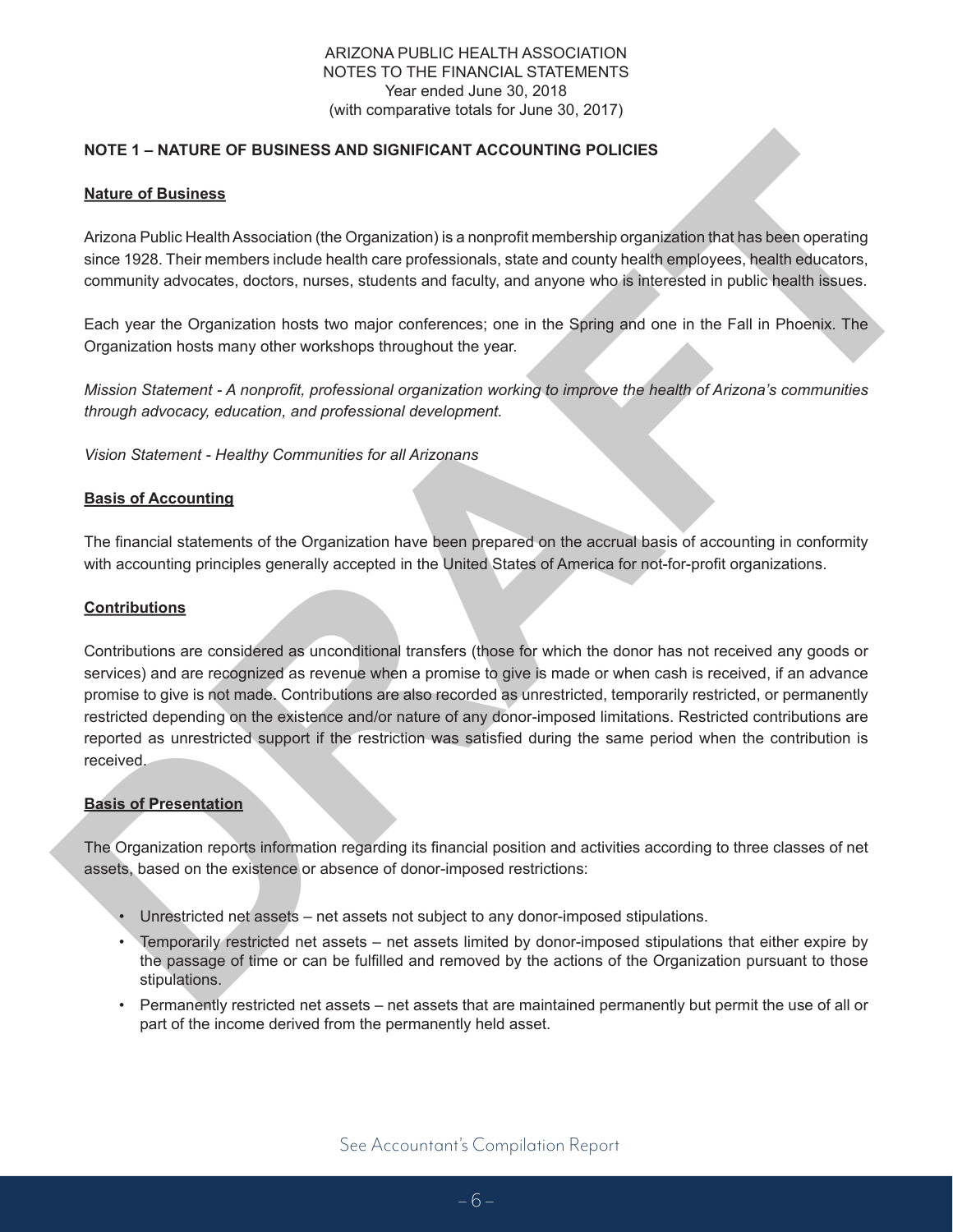#### ARIZONA PUBLIC HEALTH ASSOCIATION NOTES TO THE FINANCIAL STATEMENTS Year ended June 30, 2018 (with comparative totals for June 30, 2017)

#### **NOTE 1 – NATURE OF BUSINESS AND SIGNIFICANT ACCOUNTING POLICIES**

#### **Nature of Business**

Arizona Public Health Association (the Organization) is a nonproft membership organization that has been operating since 1928. Their members include health care professionals, state and county health employees, health educators, community advocates, doctors, nurses, students and faculty, and anyone who is interested in public health issues.

Each year the Organization hosts two major conferences; one in the Spring and one in the Fall in Phoenix. The Organization hosts many other workshops throughout the year.

*Mission Statement - A nonproft, professional organization working to improve the health of Arizona's communities through advocacy, education, and professional development.*

*Vision Statement - Healthy Communities for all Arizonans*

#### **Basis of Accounting**

The fnancial statements of the Organization have been prepared on the accrual basis of accounting in conformity with accounting principles generally accepted in the United States of America for not-for-proft organizations.

#### **Contributions**

NotTE 1 **- NATURE OF BUSINESS AND SIGNIFICANT ACCOUNTING POLICIES**<br>
Natura of Business<br>
Arizona Public Health Association (the Organization) is a nonport-firementional population fluct has been operating<br>
Arizona Public He Contributions are considered as unconditional transfers (those for which the donor has not received any goods or services) and are recognized as revenue when a promise to give is made or when cash is received, if an advance promise to give is not made. Contributions are also recorded as unrestricted, temporarily restricted, or permanently restricted depending on the existence and/or nature of any donor-imposed limitations. Restricted contributions are reported as unrestricted support if the restriction was satisfed during the same period when the contribution is received.

#### **Basis of Presentation**

The Organization reports information regarding its fnancial position and activities according to three classes of net assets, based on the existence or absence of donor-imposed restrictions:

- Unrestricted net assets net assets not subject to any donor-imposed stipulations.
- Temporarily restricted net assets net assets limited by donor-imposed stipulations that either expire by the passage of time or can be fulflled and removed by the actions of the Organization pursuant to those stipulations.
- Permanently restricted net assets net assets that are maintained permanently but permit the use of all or part of the income derived from the permanently held asset.

See Accountant's Compilation Report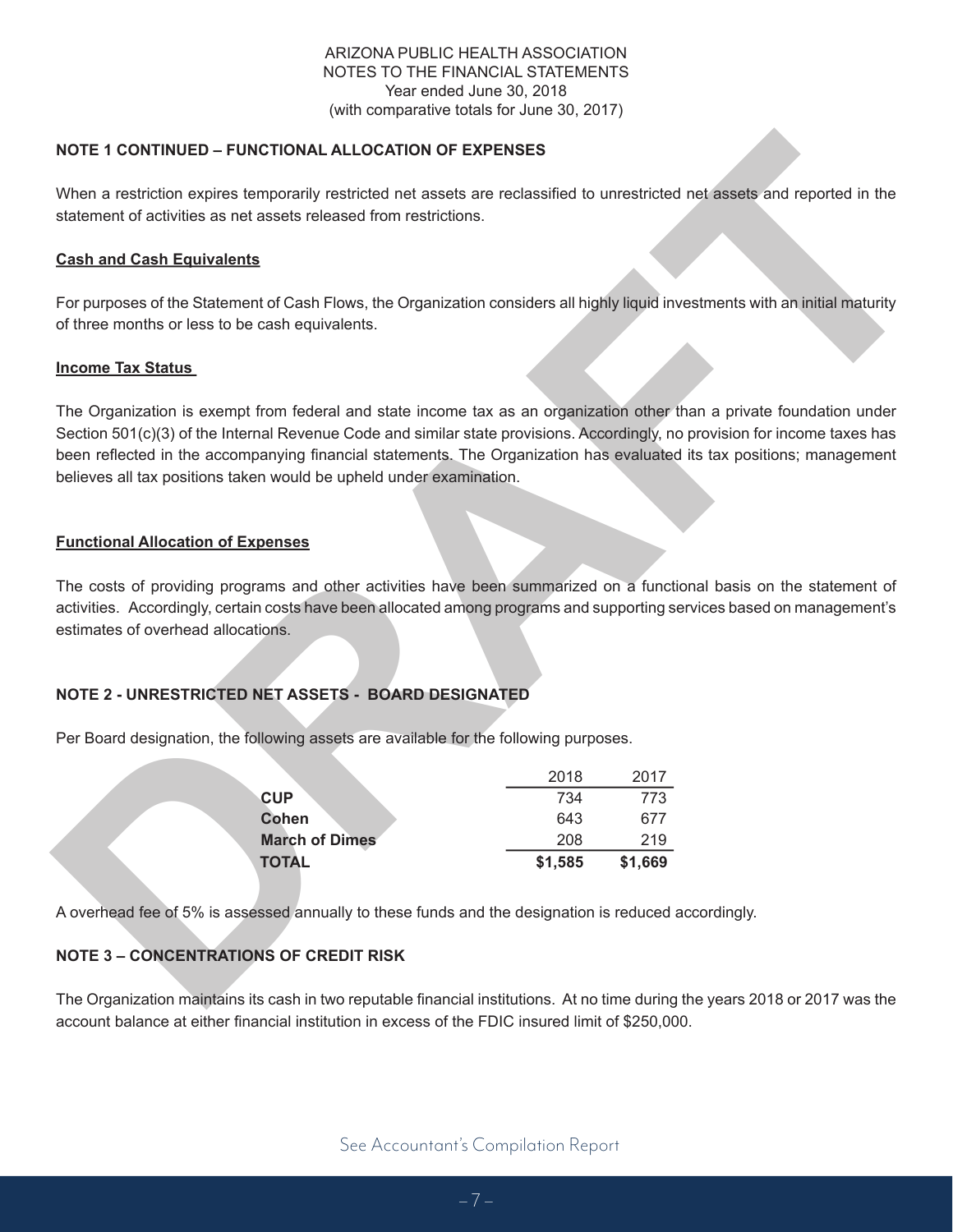#### ARIZONA PUBLIC HEALTH ASSOCIATION NOTES TO THE FINANCIAL STATEMENTS Year ended June 30, 2018 (with comparative totals for June 30, 2017)

#### **NOTE 1 CONTINUED – FUNCTIONAL ALLOCATION OF EXPENSES**

When a restriction expires temporarily restricted net assets are reclassifed to unrestricted net assets and reported in the statement of activities as net assets released from restrictions.

#### **Cash and Cash Equivalents**

For purposes of the Statement of Cash Flows, the Organization considers all highly liquid investments with an initial maturity of three months or less to be cash equivalents.

#### **Income Tax Status**

NOTE 1 CONTINUED – FUNCTIONAL ALLOCATION OF EXPENSES<br>
When a restriction rocket temperatily restricted net assets are reclassified to unrestricted net assets and reported in the<br>
statement of calculate an ent elastic resea The Organization is exempt from federal and state income tax as an organization other than a private foundation under Section 501(c)(3) of the Internal Revenue Code and similar state provisions. Accordingly, no provision for income taxes has been refected in the accompanying fnancial statements. The Organization has evaluated its tax positions; management believes all tax positions taken would be upheld under examination.

#### **Functional Allocation of Expenses**

The costs of providing programs and other activities have been summarized on a functional basis on the statement of activities. Accordingly, certain costs have been allocated among programs and supporting services based on management's estimates of overhead allocations.

#### **NOTE 2 - UNRESTRICTED NET ASSETS - BOARD DESIGNATED**

Per Board designation, the following assets are available for the following purposes.

| <b>TOTAL</b>          | \$1,585 | \$1,669 |
|-----------------------|---------|---------|
| <b>March of Dimes</b> | 208     | 219     |
| Cohen                 | 643     | 677     |
| <b>CUP</b>            | 734     | 773     |
|                       | 2018    | 2017    |

A overhead fee of 5% is assessed annually to these funds and the designation is reduced accordingly.

#### **NOTE 3 – CONCENTRATIONS OF CREDIT RISK**

The Organization maintains its cash in two reputable fnancial institutions. At no time during the years 2018 or 2017 was the account balance at either fnancial institution in excess of the FDIC insured limit of \$250,000.